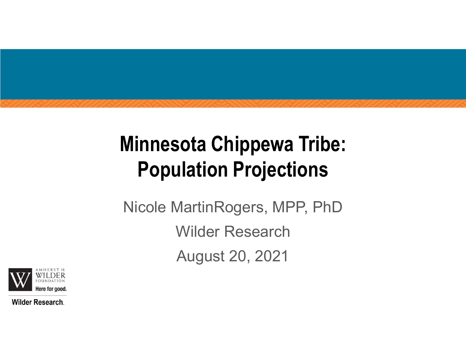# Minnesota Chippewa Tribe: Population Projections

Nicole MartinRogers, MPP, PhD Wilder Research August 20, 2021



**Wilder Research.**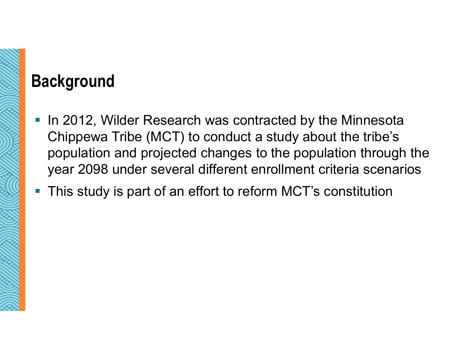### Background

- In 2012, Wilder Research was contracted by the Minnesota Chippewa Tribe (MCT) to conduct a study about the tribe's population and projected changes to the population through the year 2098 under several different enrollment criteria scenarios
- This study is part of an effort to reform MCT's constitution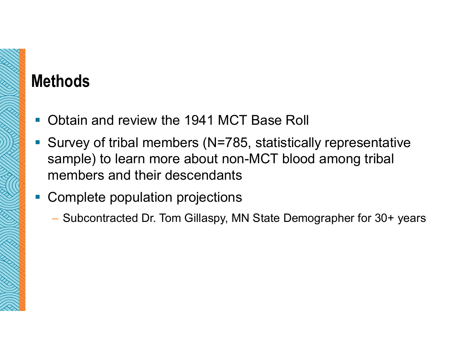### Methods

- Obtain and review the 1941 MCT Base Roll
- Survey of tribal members (N=785, statistically representative sample) to learn more about non-MCT blood among tribal members and their descendants
- **Complete population projections** 
	- Subcontracted Dr. Tom Gillaspy, MN State Demographer for 30+ years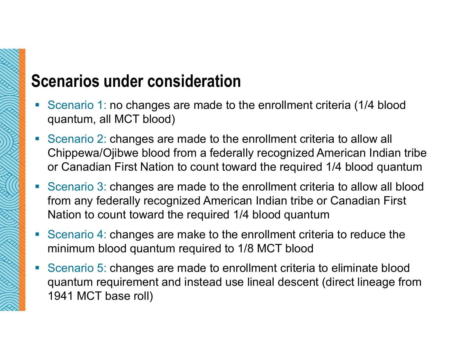### Scenarios under consideration

- Scenario 1: no changes are made to the enrollment criteria (1/4 blood quantum, all MCT blood)
- Scenario 2: changes are made to the enrollment criteria to allow all **enarios under consideration**<br>Scenario 1: no changes are made to the enrollment criteria (1/4 blood<br>quantum, all MCT blood)<br>Scenario 2: changes are made to the enrollment criteria to allow all<br>Chippewa/Ojibwe blood from a or Canadian First Nation to count toward the required 1/4 blood quantum
- Scenario 3: changes are made to the enrollment criteria to allow all blood from any federally recognized American Indian tribe or Canadian First Nation to count toward the required 1/4 blood quantum
- Scenario 4: changes are make to the enrollment criteria to reduce the minimum blood quantum required to 1/8 MCT blood
- Scenario 5: changes are made to enrollment criteria to eliminate blood quantum requirement and instead use lineal descent (direct lineage from 1941 MCT base roll)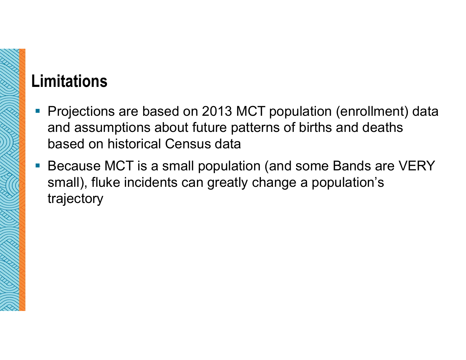## Limitations

- Projections are based on 2013 MCT population (enrollment) data and assumptions about future patterns of births and deaths based on historical Census data
- **Because MCT is a small population (and some Bands are VERY** small), fluke incidents can greatly change a population's trajectory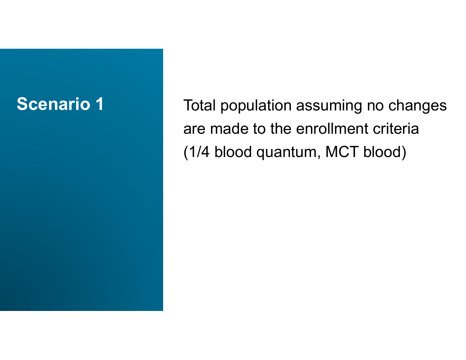**Scenario 1** Total population assuming no changes are made to the enrollment criteria (1/4 blood quantum, MCT blood)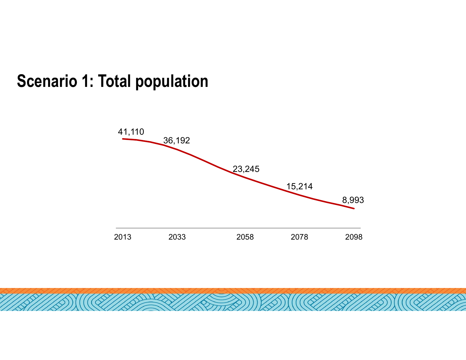#### Scenario 1: Total population

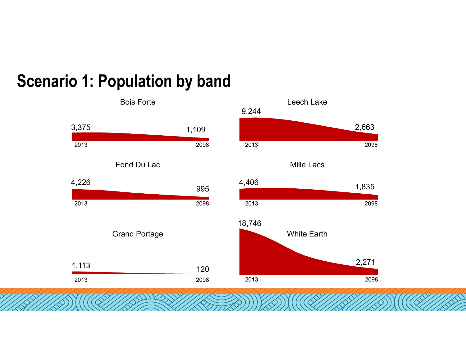## Scenario 1: Population by band

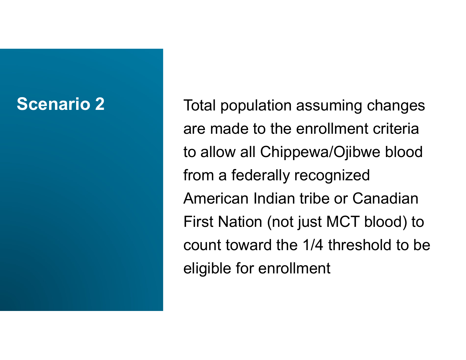**Scenario 2** Total population assuming changes are made to the enrollment criteria Total population assuming changes<br>are made to the enrollment criteria<br>to allow all Chippewa/Ojibwe blood<br>from a federally recognized from a federally recognized American Indian tribe or Canadian First Nation (not just MCT blood) to count toward the 1/4 threshold to be eligible for enrollment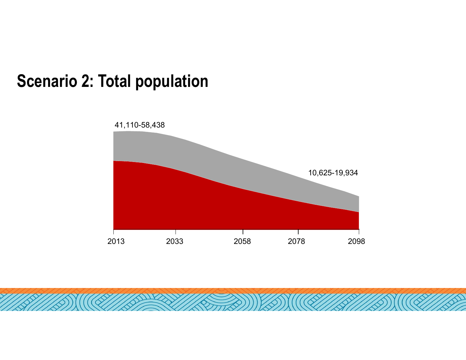#### Scenario 2: Total population

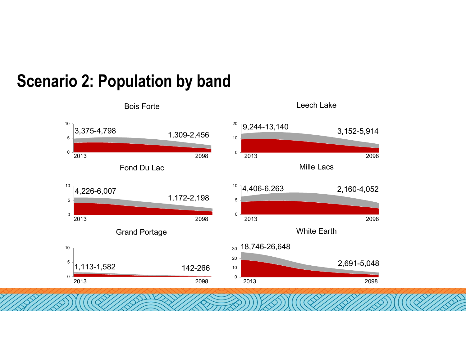#### Bois Forte Fond Du Lac Grand Portage Leech Lake Mille Lacs White Earth 2013<br>
2013<br>
2014 226-6.007<br>
2014 226-6.007<br>
<sup>2013</sup> 2014 226-6.007<br>
<sup>2014</sup> 226-6.007<br>
<sup>2014</sup> 24.406-6.263<br>
<sup>2014</sup> 226-6.007<br>
<sup>2014</sup> 226-6.007<br>
<sup>2014</sup> 24.406-6.263<br>
<sup>2014</sup> 226-6.007 2013<br>
2013<br>
2013<br>
2014 13.09-2456<br>
2013<br>
2014 13.09-2456<br>
2013<br>
2013<br>
2014 14.406-6,263<br>
2013<br>
2013<br>
2013<br>
2013<br>
2013<br>
2013<br>
2013<br>
2013<br>
2013<br>
2013<br>
2013<br>
2013<br>
2013<br>
2013<br>
2013<br>
2013<br>
2013<br>
2013<br>
2013<br>
2013<br>
2013<br>
2013<br> 3,375-4,798 1,309-2,456 3,152-5,914<br>
2013 2013 2013 2013 2013<br>
2013 2013 2013 2013<br>
2013 2013 2013 2013 2013<br>
2013 2013 2013 2013 2013<br>
2013 2013 2013 2013 2013<br>
2013 2013 2013 2013 2013<br>
2013 2013 2013 2013<br>
2013 2013 20 Leech Lake<br>
2,244-13,140<br>
2013<br>
2013<br>
2,152-5,914<br>
2098<br>
2,160-4,052<br>
2,160-4,052 Leech Lake<br>
2013 2018<br>
2013 2098<br>
2014 2013<br>
2014 2015<br>
2013 2013<br>
2013<br>
2013<br>
2014 2015<br>
2014 2028<br>
2014 2028<br>
2028<br>
2028<br>
2028<br>
2028<br>
2028<br>
2028<br>
2028<br>
2028<br>
2028<br>
2028<br>
2028<br>
2028<br>
2028<br>
2028 3,152-5,914<br>
2013 2098<br>
Aille Lacs<br>
4,406-6,263 2,160-4,052<br>
2013 White Earth<br>
2013 2013<br>
2013 2013<br>
2013<br>
2013<br>
2013<br>
2013<br>
2013<br>
2013<br>
2013<br>
2013<br>
2013<br>
2013<br>
2014<br>
2015<br>
2014<br>
2015<br>
2014<br>
2015<br>
2016<br>
2014<br>
2028 0  $\frac{5}{1,113}$ -1,582 142-266 10 10  $\overline{1}$ 0  $5 \blacksquare$  $10<sub>7</sub>$ 3,375-4,798 1,309-2,456 0 - 2010 - 2010 - 2020 - 2020 - 2020 - 2020 - 2020 - 2020 - 2020 - 2020 - 2020 - 2020 - 2020 - 2020 - 2020 - 20<br>Digwyddiadau 10 - <u>- Andrea Andrew Andrew Andrew Andrew Andrew Andrew Andrew Andrew Andrew Andrew Andrew Andrew Andrew Andr</u>  $2^{\circ}$  9,244-13,140 3,152-5,914 0 5 - <u>Jan Barnett, amerikansk politiker (</u>† 1838)  $10^{10}$  |4,406-6,263 2,160-4,052 0 10 20 - <u>1990 - 1990 - 1990 - 1990 - 1990 - 1990 - 1990 - 1990 - 1990 - 1990 - 1990 - 1990 - 1990 - 1990 - 1990 - 1</u>  $30 - 18,746 - 26,648$ 2,691-5,048 0  $5 1,$  $10^{10}$  |4,226-6,007 1,172-2,198

### Scenario 2: Population by band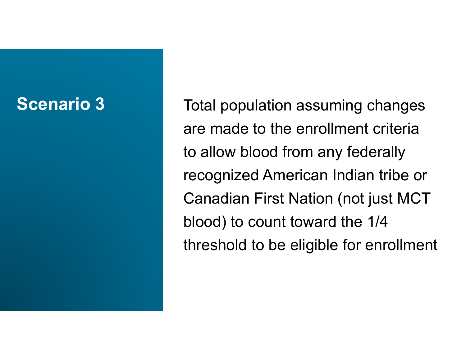**Scenario 3** Total population assuming changes are made to the enrollment criteria to allow blood from any federally recognized American Indian tribe or Canadian First Nation (not just MCT blood) to count toward the 1/4 threshold to be eligible for enrollment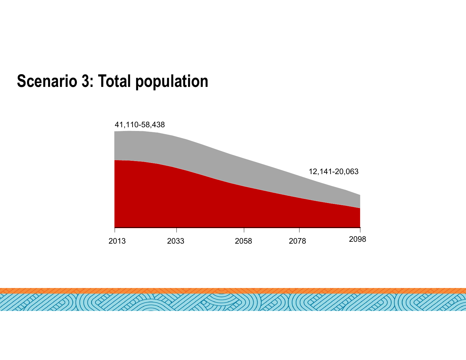#### Scenario 3: Total population

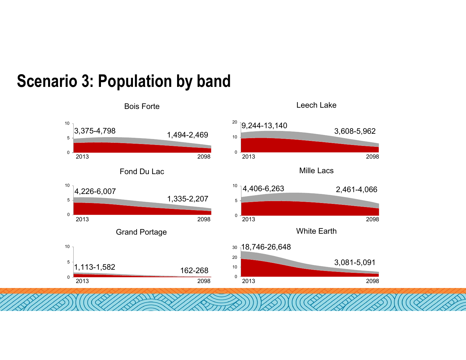#### 3. Population by band<br>
Bois Forte<br>
3,375-4,798<br>
Fond Du Lac<br>
4,226-6,007<br>
<sup>2013</sup><br>
<sup>2008</sup><br>
<sup>2013</sup><br>
<sup>2013</sup><br>
<sup>2013</sup><br>
<sup>2013</sup><br>
<sup>2013</sup><br>
<sup>2013</sup><br>
<sup>2013</sup><br>
<sup>2013</sup><br>
<sup>2013</sup><br>
<sup>2013</sup><br>
<sup>2013</sup><br>
<br>
A44-2,469<br>
<sup>2013</sup><br>
<br>
Mille Lacs<br>
<br>
2.461-3.375-4.798<br>
Bois Forte<br>
3.375-4.798<br>
Fond Du Lac<br>
4.226-6.007<br>
2013<br>
Grand Portage<br>
2013<br>
2013<br>
2013<br>
2013<br>
2013<br>
2013<br>
2013<br>
2013<br>
2013<br>
2013<br>
2013<br>
2013<br>
2013<br>
2013<br>
2013<br>
2013<br>
2013<br>
2013<br>
2013<br>
2014<br>
2013<br>
2014<br>
2.46 3,375-4,798 1,494-2,469 3,608-5,962<br>
2013 2013 2013 2013<br>
Fond Du Lac Mille Lacs<br>
4,226-6,007 1,335-2,207 <sup>1,4,406-6,263 2,461-4,066<br>
2013 Grand Portage White Earth<br>
1,113-1,582 162-268 <sup>30</sup><br>
2013 2013 2013 2013<br>
2013 201</sup> Leech Lake<br>
9,244-13,140<br>
3,608-5,962<br>
2013<br>
2018<br>
Mille Lacs<br>
4,406-6,263<br>
2,461-4,066 Leech Lake<br>
9,244-13,140<br>
3,608-5,962<br>
2013<br>
2013<br>
2013<br>
2013<br>
2013<br>
2014<br>
2015<br>
2014<br>
2015<br>
2014<br>
2015<br>
2014<br>
2015<br>
2015<br>
2015<br>
2015<br>
2015<br>
2016<br>
2015<br>
2016<br>
2016<br>
2016<br>
2026<br>
2026<br>
2026<br>
2026<br>
2026<br>
2026<br>
2026<br>
2026<br>
202 3,608-5,962<br>
2013 2018<br>
Mille Lacs<br>
4,406-6,263 2,461-4,066<br>
2013 White Earth<br>
2013 2019<br>
2013 2019<br>
2013 2019<br>
2013 2019<br>
2013 2019<br>
2013 2019<br>
2013 2019<br>
2013 2019<br>
2013 2019  $0$  -  $\sim$  0.000  $\sim$  0.000  $\sim$  0.000  $\sim$  0.000  $\sim$  0.000  $\sim$  0.000  $\sim$  0.000  $\sim$  0.000  $\sim$  0.000  $\sim$  0.000  $\sim$  0.000  $\sim$  0.000  $\sim$  0.000  $\sim$  0.000  $\sim$  0.000  $\sim$  0.000  $\sim$  0.000  $\sim$  0.000  $\sim$  0.000  $\sim$  0  $\frac{5}{1}$ 1,113-1,582 10  $\overline{10}$ 1,113-1,582 162-268 0 5 - III de la component de la component de la component de la component de la component de la component de la  $10^{10}$  |4,226-6,007 1,335-2,207 0  $5 1,7$ 10  $\overline{1}$ 3,375-4,798 1,494-2,469 0 10 - <u>Contract of the Contract of the Contract of the Contract of the Contract of the Contract of the Contract of</u>  $20$  9,244-13,140 3,608-5,962 0 5 - <u>Jan Bartha, amerikan personal di sebagai personal di sebagai personal di sebagai personal di sebagai personal di sebagai personal di sebagai personal di sebagai personal di sebagai personal di sebagai personal di seba</u>  $10^{10}$  |4,406-6,263 2,461-4,066 0  $10 -$ 20 - <u>In the second contract of the second contract of the second contract of the second contract of the second</u> 30 18,746-26,648 3,081-5,091 Bois Forte Fond Du Lac Grand Portage Leech Lake Mille Lacs White Earth

Scenario 3: Population by band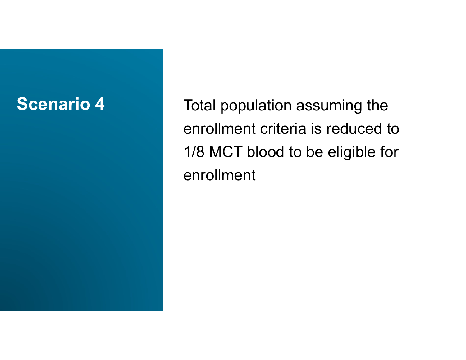**Scenario 4** Total population assuming the enrollment criteria is reduced to 1/8 MCT blood to be eligible for enrollment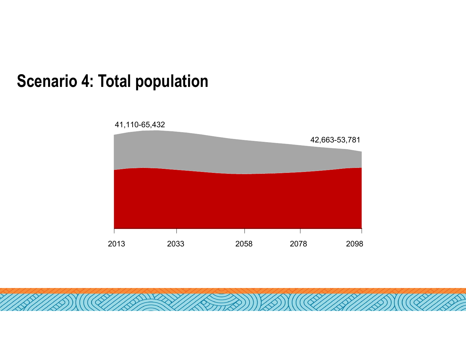#### Scenario 4: Total population

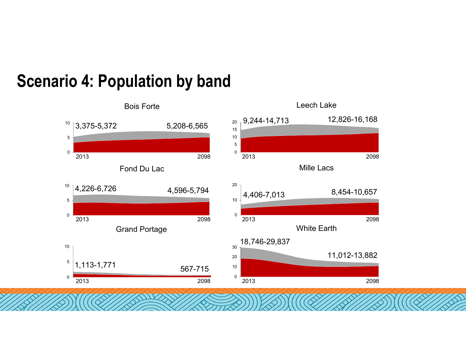#### $0$  -  $\sim$  0.10  $\sim$  0.10  $\sim$  0.10  $\sim$  0.10  $\sim$  0.10  $\sim$  0.10  $\sim$  0.10  $\sim$  0.10  $\sim$  $5\overline{)1,113\text{-}1,771}$  567-715  $10\overline{)100}$  567-715  $10<sub>7</sub>$ 0 5  $10^{10}$  4,226-6,726  $4,596-5,794$   $20$  4,406-7,013 0  $5 -$ **10 4: Population by band**<br>
Bois Forte Leech Lake<br>  $\frac{10}{3}$ <br>  $\frac{3,375-5,372}{2013}$ <br>  $\frac{5,208-6,565}{2013}$ <br>  $\frac{20}{2013}$ <br>  $\frac{5}{2013}$ 0 5 - Santa Barat, amerikansk politiker († 1938) 10  $15 -$ <sup>20</sup> 9,244-14,713 12,826-16,168 0  $10 20<sub>1</sub>$ 8,454-10,657 0 10 - Indiana and a strong control of the control of the control of the control of the control of the control of 20 11,012-13,882  $30<sub>1</sub>$ 18,746-29,837 **4: Population by band**<br>
Bois Forte<br>
3,375-5,372 5,208-6,565<br>
2013 Fond Du Lac<br>
4,226-6,726 4,596-5,794 <sup>20</sup> 4,406 7,013 8,454-10.657 **4: Population by band**<br>
Bois Forte<br>
3,375-5,372 5,208-6,565 <sup>20, 9,244-14,713 12,826-16,168</sup><br>
<sup>2013</sup> Fond Du Lac<br>
4,596-5,794 <sup>2013</sup> 4,406-7,013 8,454-10,657<br>
Crand Portage<br>
<sup>2013</sup> Grand Portage<br>
<sup>2013</sup> <sup>2013</sup> <sup>2013</sup> <sup>20</sup> 2013<br>
Fond Du Lac<br>
4,226-6,726<br>
2013<br>
2013<br>
2013<br>
2013<br>
2013<br>
2013<br>
2013<br>
2013<br>
2013<br>
2013<br>
2013<br>
2013<br>
2013<br>
2013<br>
2013<br>
2013<br>
2013<br>
2013<br>
2013<br>
2013<br>
2013<br>
2013<br>
2013<br>
2013<br>
2013<br>
2013<br>
2013<br>
2013<br>
2013<br>
2013<br>
2013<br>
2013 Leech Lake<br>
9,244-14,713 12,826-16,168<br>
2013 2098<br>
Mille Lacs<br>
4 406 7 013 8 454-10.657 Leech Lake<br>
9,244-14,713 12,826-16,168<br>
2013 Mille Lacs<br>
4,406-7,013 8,454-10,657<br>
2013 White Earth<br>
2098<br>
2013 12098<br>
2013 12098<br>
11.012-13.882 2013<br>
Mille Lacs<br>
4,406-7,013<br>
White Earth<br>
18,746-29,837<br>
2013<br>
2013<br>
2013<br>
2013<br>
2013<br>
2013<br>
2013<br>
2013<br>
2013<br>
2014<br>
2014<br>
2014<br>
2014<br>
2014<br>
2014<br>
2014<br>
2014<br>
2015<br>
2016<br>
2016<br>
2016<br>
2016<br>
2016<br>
2016<br>
2016<br>
2016<br>
2016<br>
2 Bois Forte Fond Du Lac Grand Portage Leech Lake Mille Lacs White Earth

### Scenario 4: Population by band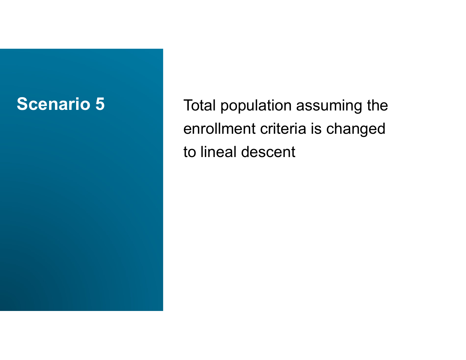Scenario 5 Total population assuming the enrollment criteria is changed to lineal descent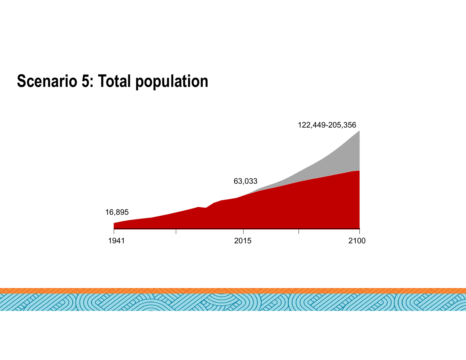#### Scenario 5: Total population

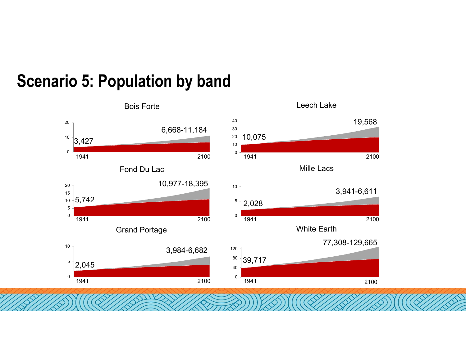#### 2100 0  $\frac{5}{2,045}$  $10<sub>1</sub>$ 3,984-6,682 0 - <u>1994</u> - 1995 - 1996 - 1997 - 1998 - 1999 - 1999 - 1999 - 1999 - 1999 - 1999 - 1999 - 1999 - 1999 - 1999 - 199 5 - <mark>January Marian, amerikan pendadian pendadaran pendadaran pendadaran pendadaran pendadaran pendadaran pers</mark> 10 5,742  $15 \frac{1}{2}$  $20$   $10,977$ -18,395 0  $10^{-10}$  3,427  $\begin{bmatrix} 20 \\ 3,427 \end{bmatrix}$  6,668-11, 6,668-11,184 0  $10 -$ 20 10,075  $30 \frac{1}{2}$ 40  $\overline{1}$ 19,568 0 - <u>De partie de la production de la production de la production de la production de la production de la production de la production de la production de la production de la production de la production de la production de </u> 40 - **Andrea Andrea Andrea Andrea Andrea Andrea Andrea Andrea Andrea Andrea Andrea Andrea Andrea Andrea Andrea** 80 39,717  $120 +$ 77,308-129,665 0 - <u>1944 - 1955 - 1956 - 1957 - 1958 - 1959 - 1959 - 1959 - 1959 - 1959 - 1959 - 1959 - 1959 - 1959 - 1959 - 19</u>  $5 \mid 2,028$  $10<sub>1</sub>$ 3,941-6,611 5: Population by band<br>
Bois Forte<br>
6,668-11,184<br>
8,427<br>
Fond Du Lac<br>
19,977-18,395<br>
<sup>10,075</sup><br>
<sup>1941</sup><br>
Fond Du Lac<br>
<sup>10,977-18,395</sup><br>
<sup>10,075</sup><br>
<sup>1941</sup><br>
2100<br>
<br>
2100<br>
<br>
2100<br>
<br>
21041<br>
21041<br>
21041<br>
2106<br>
<br>
21041<br>
<br>
21041<br>
<br> 1941 2100 8,427<br>
Fond Du Lac<br>
Fond Du Lac<br>
10,977-18,395<br>
5,742<br>
Grand Portage<br>
3,984-6,682<br>
2,028<br>
2,045<br>
1941<br>
2100<br>
2100<br>
2100<br>
2100<br>
2100<br>
2100<br>
2100<br>
2100<br>
2100<br>
2100<br>
2100<br>
2100<br>
2100<br>
2100<br>
2100<br>
2100<br>
2100<br>
2100<br>
2100<br>
2100 Leech Lake<br>19,075<br>1941 2100<br>Mille Lacs<br>3,941-6,611 Leech Lake<br>
19,568<br>
1941 2100<br>
Mille Lacs<br>
3,941-6,611<br>
2,028<br>
1941 2100<br>
White Earth<br>
77,308-129,665 1941 Bois Forte Fond Du Lac Grand Portage Leech Lake Mille Lacs White Earth

## Scenario 5: Population by band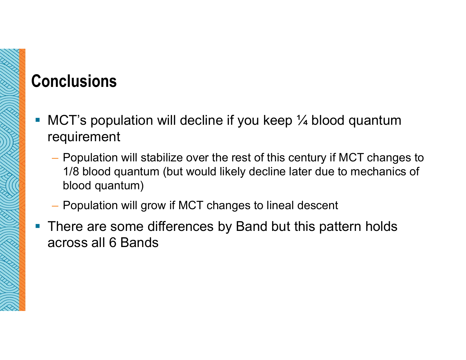## **Conclusions**

- MCT's population will decline if you keep 1/4 blood quantum requirement
	- Population will stabilize over the rest of this century if MCT changes to 1/8 blood quantum (but would likely decline later due to mechanics of blood quantum)
	- Population will grow if MCT changes to lineal descent
- There are some differences by Band but this pattern holds across all 6 Bands